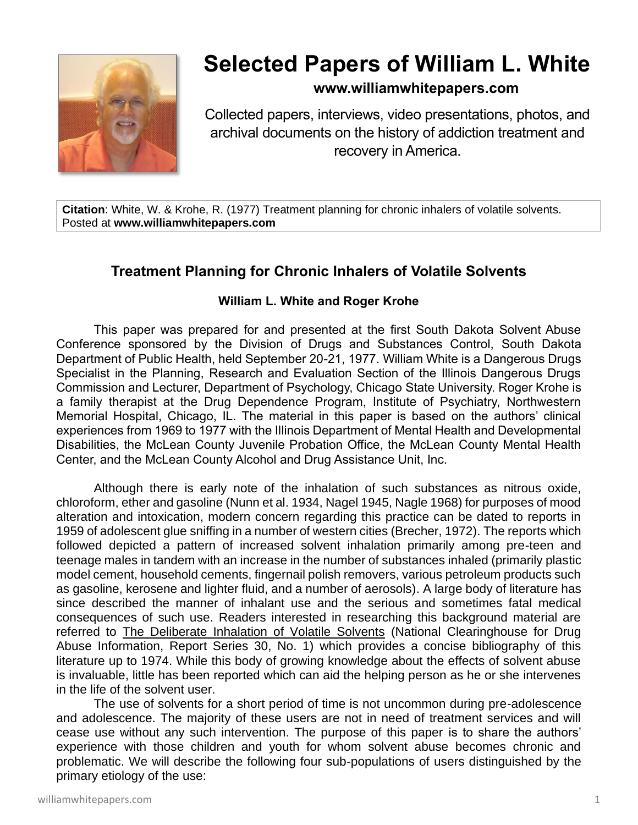

# **Selected Papers of William L. White**

## **www.williamwhitepapers.com**

Collected papers, interviews, video presentations, photos, and archival documents on the history of addiction treatment and recovery in America.

**Citation**: White, W. & Krohe, R. (1977) Treatment planning for chronic inhalers of volatile solvents. Posted at **www.williamwhitepapers.com**

## **Treatment Planning for Chronic Inhalers of Volatile Solvents**

## **William L. White and Roger Krohe**

This paper was prepared for and presented at the first South Dakota Solvent Abuse Conference sponsored by the Division of Drugs and Substances Control, South Dakota Department of Public Health, held September 20-21, 1977. William White is a Dangerous Drugs Specialist in the Planning, Research and Evaluation Section of the Illinois Dangerous Drugs Commission and Lecturer, Department of Psychology, Chicago State University. Roger Krohe is a family therapist at the Drug Dependence Program, Institute of Psychiatry, Northwestern Memorial Hospital, Chicago, IL. The material in this paper is based on the authors' clinical experiences from 1969 to 1977 with the Illinois Department of Mental Health and Developmental Disabilities, the McLean County Juvenile Probation Office, the McLean County Mental Health Center, and the McLean County Alcohol and Drug Assistance Unit, Inc.

Although there is early note of the inhalation of such substances as nitrous oxide, chloroform, ether and gasoline (Nunn et al. 1934, Nagel 1945, Nagle 1968) for purposes of mood alteration and intoxication, modern concern regarding this practice can be dated to reports in 1959 of adolescent glue sniffing in a number of western cities (Brecher, 1972). The reports which followed depicted a pattern of increased solvent inhalation primarily among pre-teen and teenage males in tandem with an increase in the number of substances inhaled (primarily plastic model cement, household cements, fingernail polish removers, various petroleum products such as gasoline, kerosene and lighter fluid, and a number of aerosols). A large body of literature has since described the manner of inhalant use and the serious and sometimes fatal medical consequences of such use. Readers interested in researching this background material are referred to The Deliberate Inhalation of Volatile Solvents (National Clearinghouse for Drug Abuse Information, Report Series 30, No. 1) which provides a concise bibliography of this literature up to 1974. While this body of growing knowledge about the effects of solvent abuse is invaluable, little has been reported which can aid the helping person as he or she intervenes in the life of the solvent user.

The use of solvents for a short period of time is not uncommon during pre-adolescence and adolescence. The majority of these users are not in need of treatment services and will cease use without any such intervention. The purpose of this paper is to share the authors' experience with those children and youth for whom solvent abuse becomes chronic and problematic. We will describe the following four sub-populations of users distinguished by the primary etiology of the use: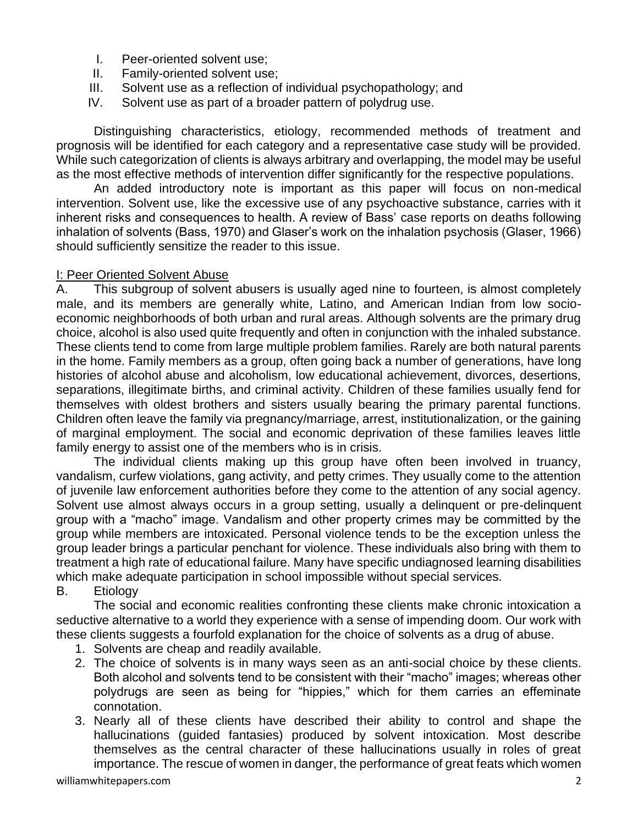- I. Peer-oriented solvent use;
- II. Family-oriented solvent use;
- III. Solvent use as a reflection of individual psychopathology; and
- IV. Solvent use as part of a broader pattern of polydrug use.

Distinguishing characteristics, etiology, recommended methods of treatment and prognosis will be identified for each category and a representative case study will be provided. While such categorization of clients is always arbitrary and overlapping, the model may be useful as the most effective methods of intervention differ significantly for the respective populations.

An added introductory note is important as this paper will focus on non-medical intervention. Solvent use, like the excessive use of any psychoactive substance, carries with it inherent risks and consequences to health. A review of Bass' case reports on deaths following inhalation of solvents (Bass, 1970) and Glaser's work on the inhalation psychosis (Glaser, 1966) should sufficiently sensitize the reader to this issue.

#### I: Peer Oriented Solvent Abuse

A. This subgroup of solvent abusers is usually aged nine to fourteen, is almost completely male, and its members are generally white, Latino, and American Indian from low socioeconomic neighborhoods of both urban and rural areas. Although solvents are the primary drug choice, alcohol is also used quite frequently and often in conjunction with the inhaled substance. These clients tend to come from large multiple problem families. Rarely are both natural parents in the home. Family members as a group, often going back a number of generations, have long histories of alcohol abuse and alcoholism, low educational achievement, divorces, desertions, separations, illegitimate births, and criminal activity. Children of these families usually fend for themselves with oldest brothers and sisters usually bearing the primary parental functions. Children often leave the family via pregnancy/marriage, arrest, institutionalization, or the gaining of marginal employment. The social and economic deprivation of these families leaves little family energy to assist one of the members who is in crisis.

The individual clients making up this group have often been involved in truancy, vandalism, curfew violations, gang activity, and petty crimes. They usually come to the attention of juvenile law enforcement authorities before they come to the attention of any social agency. Solvent use almost always occurs in a group setting, usually a delinquent or pre-delinquent group with a "macho" image. Vandalism and other property crimes may be committed by the group while members are intoxicated. Personal violence tends to be the exception unless the group leader brings a particular penchant for violence. These individuals also bring with them to treatment a high rate of educational failure. Many have specific undiagnosed learning disabilities which make adequate participation in school impossible without special services.

B. Etiology

The social and economic realities confronting these clients make chronic intoxication a seductive alternative to a world they experience with a sense of impending doom. Our work with these clients suggests a fourfold explanation for the choice of solvents as a drug of abuse.

- 1. Solvents are cheap and readily available.
- 2. The choice of solvents is in many ways seen as an anti-social choice by these clients. Both alcohol and solvents tend to be consistent with their "macho" images; whereas other polydrugs are seen as being for "hippies," which for them carries an effeminate connotation.
- 3. Nearly all of these clients have described their ability to control and shape the hallucinations (guided fantasies) produced by solvent intoxication. Most describe themselves as the central character of these hallucinations usually in roles of great importance. The rescue of women in danger, the performance of great feats which women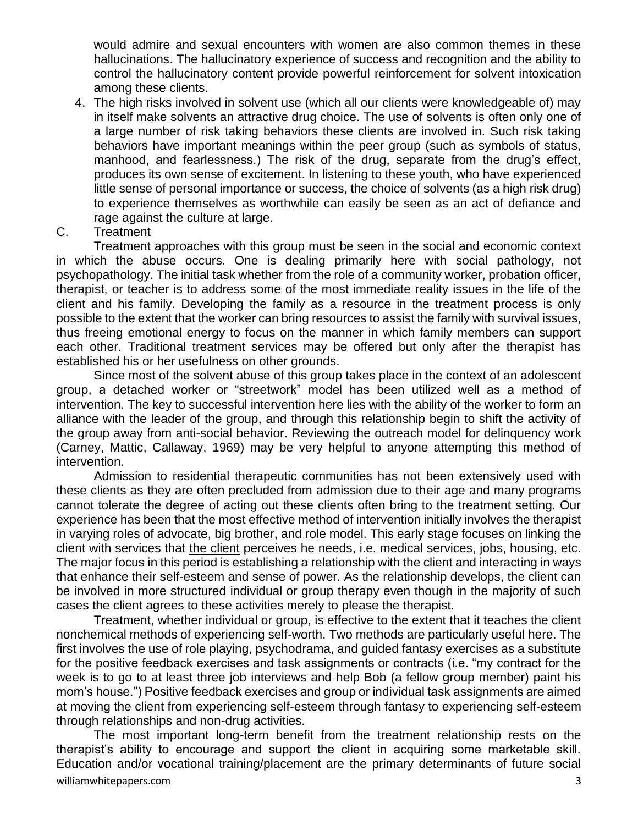would admire and sexual encounters with women are also common themes in these hallucinations. The hallucinatory experience of success and recognition and the ability to control the hallucinatory content provide powerful reinforcement for solvent intoxication among these clients.

- 4. The high risks involved in solvent use (which all our clients were knowledgeable of) may in itself make solvents an attractive drug choice. The use of solvents is often only one of a large number of risk taking behaviors these clients are involved in. Such risk taking behaviors have important meanings within the peer group (such as symbols of status, manhood, and fearlessness.) The risk of the drug, separate from the drug's effect, produces its own sense of excitement. In listening to these youth, who have experienced little sense of personal importance or success, the choice of solvents (as a high risk drug) to experience themselves as worthwhile can easily be seen as an act of defiance and rage against the culture at large.
- C. Treatment

Treatment approaches with this group must be seen in the social and economic context in which the abuse occurs. One is dealing primarily here with social pathology, not psychopathology. The initial task whether from the role of a community worker, probation officer, therapist, or teacher is to address some of the most immediate reality issues in the life of the client and his family. Developing the family as a resource in the treatment process is only possible to the extent that the worker can bring resources to assist the family with survival issues, thus freeing emotional energy to focus on the manner in which family members can support each other. Traditional treatment services may be offered but only after the therapist has established his or her usefulness on other grounds.

Since most of the solvent abuse of this group takes place in the context of an adolescent group, a detached worker or "streetwork" model has been utilized well as a method of intervention. The key to successful intervention here lies with the ability of the worker to form an alliance with the leader of the group, and through this relationship begin to shift the activity of the group away from anti-social behavior. Reviewing the outreach model for delinquency work (Carney, Mattic, Callaway, 1969) may be very helpful to anyone attempting this method of intervention.

Admission to residential therapeutic communities has not been extensively used with these clients as they are often precluded from admission due to their age and many programs cannot tolerate the degree of acting out these clients often bring to the treatment setting. Our experience has been that the most effective method of intervention initially involves the therapist in varying roles of advocate, big brother, and role model. This early stage focuses on linking the client with services that the client perceives he needs, i.e. medical services, jobs, housing, etc. The major focus in this period is establishing a relationship with the client and interacting in ways that enhance their self-esteem and sense of power. As the relationship develops, the client can be involved in more structured individual or group therapy even though in the majority of such cases the client agrees to these activities merely to please the therapist.

Treatment, whether individual or group, is effective to the extent that it teaches the client nonchemical methods of experiencing self-worth. Two methods are particularly useful here. The first involves the use of role playing, psychodrama, and guided fantasy exercises as a substitute for the positive feedback exercises and task assignments or contracts (i.e. "my contract for the week is to go to at least three job interviews and help Bob (a fellow group member) paint his mom's house.") Positive feedback exercises and group or individual task assignments are aimed at moving the client from experiencing self-esteem through fantasy to experiencing self-esteem through relationships and non-drug activities.

williamwhitepapers.com 3 The most important long-term benefit from the treatment relationship rests on the therapist's ability to encourage and support the client in acquiring some marketable skill. Education and/or vocational training/placement are the primary determinants of future social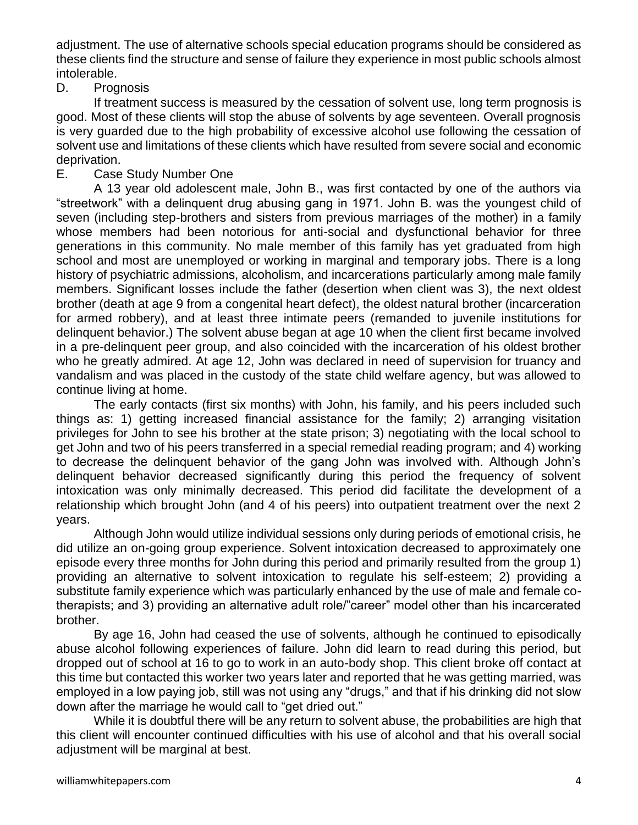adjustment. The use of alternative schools special education programs should be considered as these clients find the structure and sense of failure they experience in most public schools almost intolerable.

D. Prognosis

If treatment success is measured by the cessation of solvent use, long term prognosis is good. Most of these clients will stop the abuse of solvents by age seventeen. Overall prognosis is very guarded due to the high probability of excessive alcohol use following the cessation of solvent use and limitations of these clients which have resulted from severe social and economic deprivation.

E. Case Study Number One

A 13 year old adolescent male, John B., was first contacted by one of the authors via "streetwork" with a delinquent drug abusing gang in 1971. John B. was the youngest child of seven (including step-brothers and sisters from previous marriages of the mother) in a family whose members had been notorious for anti-social and dysfunctional behavior for three generations in this community. No male member of this family has yet graduated from high school and most are unemployed or working in marginal and temporary jobs. There is a long history of psychiatric admissions, alcoholism, and incarcerations particularly among male family members. Significant losses include the father (desertion when client was 3), the next oldest brother (death at age 9 from a congenital heart defect), the oldest natural brother (incarceration for armed robbery), and at least three intimate peers (remanded to juvenile institutions for delinquent behavior.) The solvent abuse began at age 10 when the client first became involved in a pre-delinquent peer group, and also coincided with the incarceration of his oldest brother who he greatly admired. At age 12, John was declared in need of supervision for truancy and vandalism and was placed in the custody of the state child welfare agency, but was allowed to continue living at home.

The early contacts (first six months) with John, his family, and his peers included such things as: 1) getting increased financial assistance for the family; 2) arranging visitation privileges for John to see his brother at the state prison; 3) negotiating with the local school to get John and two of his peers transferred in a special remedial reading program; and 4) working to decrease the delinquent behavior of the gang John was involved with. Although John's delinquent behavior decreased significantly during this period the frequency of solvent intoxication was only minimally decreased. This period did facilitate the development of a relationship which brought John (and 4 of his peers) into outpatient treatment over the next 2 years.

Although John would utilize individual sessions only during periods of emotional crisis, he did utilize an on-going group experience. Solvent intoxication decreased to approximately one episode every three months for John during this period and primarily resulted from the group 1) providing an alternative to solvent intoxication to regulate his self-esteem; 2) providing a substitute family experience which was particularly enhanced by the use of male and female cotherapists; and 3) providing an alternative adult role/"career" model other than his incarcerated brother.

By age 16, John had ceased the use of solvents, although he continued to episodically abuse alcohol following experiences of failure. John did learn to read during this period, but dropped out of school at 16 to go to work in an auto-body shop. This client broke off contact at this time but contacted this worker two years later and reported that he was getting married, was employed in a low paying job, still was not using any "drugs," and that if his drinking did not slow down after the marriage he would call to "get dried out."

While it is doubtful there will be any return to solvent abuse, the probabilities are high that this client will encounter continued difficulties with his use of alcohol and that his overall social adjustment will be marginal at best.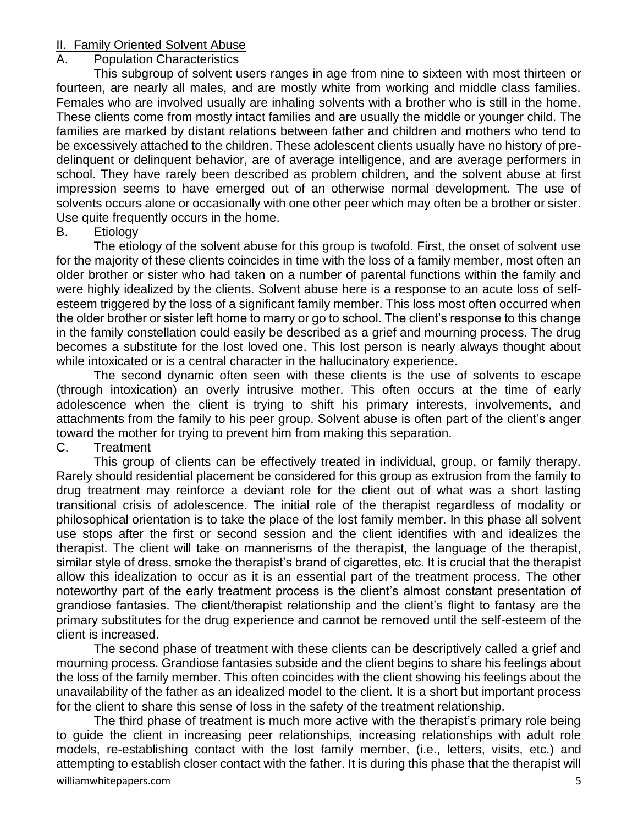## II. Family Oriented Solvent Abuse

## A. Population Characteristics

This subgroup of solvent users ranges in age from nine to sixteen with most thirteen or fourteen, are nearly all males, and are mostly white from working and middle class families. Females who are involved usually are inhaling solvents with a brother who is still in the home. These clients come from mostly intact families and are usually the middle or younger child. The families are marked by distant relations between father and children and mothers who tend to be excessively attached to the children. These adolescent clients usually have no history of predelinquent or delinquent behavior, are of average intelligence, and are average performers in school. They have rarely been described as problem children, and the solvent abuse at first impression seems to have emerged out of an otherwise normal development. The use of solvents occurs alone or occasionally with one other peer which may often be a brother or sister. Use quite frequently occurs in the home.

## B. Etiology

The etiology of the solvent abuse for this group is twofold. First, the onset of solvent use for the majority of these clients coincides in time with the loss of a family member, most often an older brother or sister who had taken on a number of parental functions within the family and were highly idealized by the clients. Solvent abuse here is a response to an acute loss of selfesteem triggered by the loss of a significant family member. This loss most often occurred when the older brother or sister left home to marry or go to school. The client's response to this change in the family constellation could easily be described as a grief and mourning process. The drug becomes a substitute for the lost loved one. This lost person is nearly always thought about while intoxicated or is a central character in the hallucinatory experience.

The second dynamic often seen with these clients is the use of solvents to escape (through intoxication) an overly intrusive mother. This often occurs at the time of early adolescence when the client is trying to shift his primary interests, involvements, and attachments from the family to his peer group. Solvent abuse is often part of the client's anger toward the mother for trying to prevent him from making this separation.

## C. Treatment

This group of clients can be effectively treated in individual, group, or family therapy. Rarely should residential placement be considered for this group as extrusion from the family to drug treatment may reinforce a deviant role for the client out of what was a short lasting transitional crisis of adolescence. The initial role of the therapist regardless of modality or philosophical orientation is to take the place of the lost family member. In this phase all solvent use stops after the first or second session and the client identifies with and idealizes the therapist. The client will take on mannerisms of the therapist, the language of the therapist, similar style of dress, smoke the therapist's brand of cigarettes, etc. It is crucial that the therapist allow this idealization to occur as it is an essential part of the treatment process. The other noteworthy part of the early treatment process is the client's almost constant presentation of grandiose fantasies. The client/therapist relationship and the client's flight to fantasy are the primary substitutes for the drug experience and cannot be removed until the self-esteem of the client is increased.

The second phase of treatment with these clients can be descriptively called a grief and mourning process. Grandiose fantasies subside and the client begins to share his feelings about the loss of the family member. This often coincides with the client showing his feelings about the unavailability of the father as an idealized model to the client. It is a short but important process for the client to share this sense of loss in the safety of the treatment relationship.

williamwhitepapers.com 5 The third phase of treatment is much more active with the therapist's primary role being to guide the client in increasing peer relationships, increasing relationships with adult role models, re-establishing contact with the lost family member, (i.e., letters, visits, etc.) and attempting to establish closer contact with the father. It is during this phase that the therapist will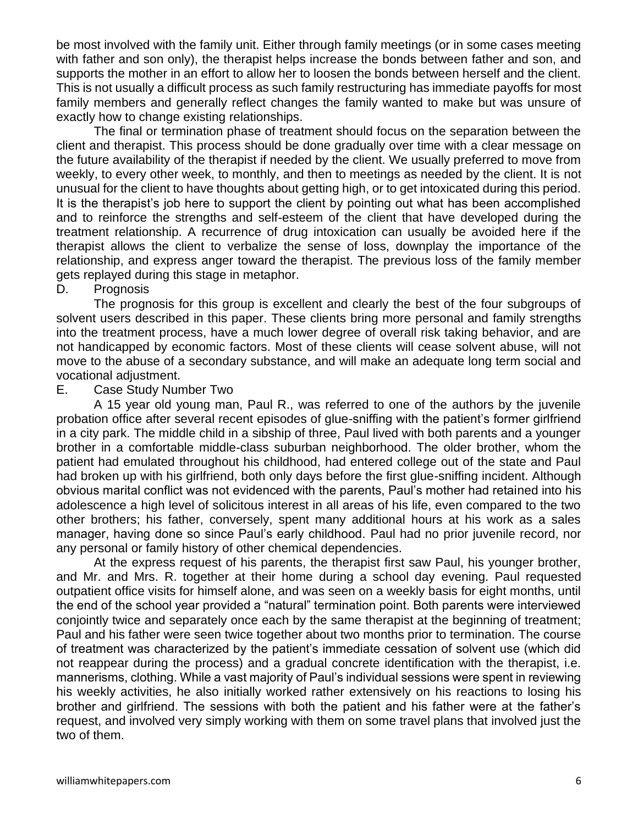be most involved with the family unit. Either through family meetings (or in some cases meeting with father and son only), the therapist helps increase the bonds between father and son, and supports the mother in an effort to allow her to loosen the bonds between herself and the client. This is not usually a difficult process as such family restructuring has immediate payoffs for most family members and generally reflect changes the family wanted to make but was unsure of exactly how to change existing relationships.

The final or termination phase of treatment should focus on the separation between the client and therapist. This process should be done gradually over time with a clear message on the future availability of the therapist if needed by the client. We usually preferred to move from weekly, to every other week, to monthly, and then to meetings as needed by the client. It is not unusual for the client to have thoughts about getting high, or to get intoxicated during this period. It is the therapist's job here to support the client by pointing out what has been accomplished and to reinforce the strengths and self-esteem of the client that have developed during the treatment relationship. A recurrence of drug intoxication can usually be avoided here if the therapist allows the client to verbalize the sense of loss, downplay the importance of the relationship, and express anger toward the therapist. The previous loss of the family member gets replayed during this stage in metaphor.

## D. Prognosis

The prognosis for this group is excellent and clearly the best of the four subgroups of solvent users described in this paper. These clients bring more personal and family strengths into the treatment process, have a much lower degree of overall risk taking behavior, and are not handicapped by economic factors. Most of these clients will cease solvent abuse, will not move to the abuse of a secondary substance, and will make an adequate long term social and vocational adjustment.

## E. Case Study Number Two

A 15 year old young man, Paul R., was referred to one of the authors by the juvenile probation office after several recent episodes of glue-sniffing with the patient's former girlfriend in a city park. The middle child in a sibship of three, Paul lived with both parents and a younger brother in a comfortable middle-class suburban neighborhood. The older brother, whom the patient had emulated throughout his childhood, had entered college out of the state and Paul had broken up with his girlfriend, both only days before the first glue-sniffing incident. Although obvious marital conflict was not evidenced with the parents, Paul's mother had retained into his adolescence a high level of solicitous interest in all areas of his life, even compared to the two other brothers; his father, conversely, spent many additional hours at his work as a sales manager, having done so since Paul's early childhood. Paul had no prior juvenile record, nor any personal or family history of other chemical dependencies.

At the express request of his parents, the therapist first saw Paul, his younger brother, and Mr. and Mrs. R. together at their home during a school day evening. Paul requested outpatient office visits for himself alone, and was seen on a weekly basis for eight months, until the end of the school year provided a "natural" termination point. Both parents were interviewed conjointly twice and separately once each by the same therapist at the beginning of treatment; Paul and his father were seen twice together about two months prior to termination. The course of treatment was characterized by the patient's immediate cessation of solvent use (which did not reappear during the process) and a gradual concrete identification with the therapist, i.e. mannerisms, clothing. While a vast majority of Paul's individual sessions were spent in reviewing his weekly activities, he also initially worked rather extensively on his reactions to losing his brother and girlfriend. The sessions with both the patient and his father were at the father's request, and involved very simply working with them on some travel plans that involved just the two of them.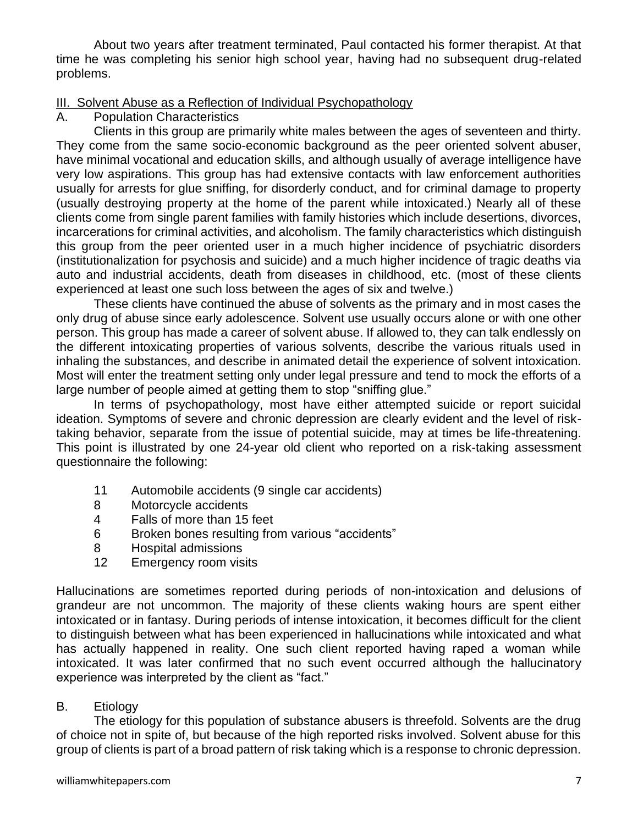About two years after treatment terminated, Paul contacted his former therapist. At that time he was completing his senior high school year, having had no subsequent drug-related problems.

## III. Solvent Abuse as a Reflection of Individual Psychopathology

A. Population Characteristics

Clients in this group are primarily white males between the ages of seventeen and thirty. They come from the same socio-economic background as the peer oriented solvent abuser, have minimal vocational and education skills, and although usually of average intelligence have very low aspirations. This group has had extensive contacts with law enforcement authorities usually for arrests for glue sniffing, for disorderly conduct, and for criminal damage to property (usually destroying property at the home of the parent while intoxicated.) Nearly all of these clients come from single parent families with family histories which include desertions, divorces, incarcerations for criminal activities, and alcoholism. The family characteristics which distinguish this group from the peer oriented user in a much higher incidence of psychiatric disorders (institutionalization for psychosis and suicide) and a much higher incidence of tragic deaths via auto and industrial accidents, death from diseases in childhood, etc. (most of these clients experienced at least one such loss between the ages of six and twelve.)

These clients have continued the abuse of solvents as the primary and in most cases the only drug of abuse since early adolescence. Solvent use usually occurs alone or with one other person. This group has made a career of solvent abuse. If allowed to, they can talk endlessly on the different intoxicating properties of various solvents, describe the various rituals used in inhaling the substances, and describe in animated detail the experience of solvent intoxication. Most will enter the treatment setting only under legal pressure and tend to mock the efforts of a large number of people aimed at getting them to stop "sniffing glue."

In terms of psychopathology, most have either attempted suicide or report suicidal ideation. Symptoms of severe and chronic depression are clearly evident and the level of risktaking behavior, separate from the issue of potential suicide, may at times be life-threatening. This point is illustrated by one 24-year old client who reported on a risk-taking assessment questionnaire the following:

- 11 Automobile accidents (9 single car accidents)
- 8 Motorcycle accidents
- 4 Falls of more than 15 feet
- 6 Broken bones resulting from various "accidents"
- 8 Hospital admissions
- 12 Emergency room visits

Hallucinations are sometimes reported during periods of non-intoxication and delusions of grandeur are not uncommon. The majority of these clients waking hours are spent either intoxicated or in fantasy. During periods of intense intoxication, it becomes difficult for the client to distinguish between what has been experienced in hallucinations while intoxicated and what has actually happened in reality. One such client reported having raped a woman while intoxicated. It was later confirmed that no such event occurred although the hallucinatory experience was interpreted by the client as "fact."

## B. Etiology

The etiology for this population of substance abusers is threefold. Solvents are the drug of choice not in spite of, but because of the high reported risks involved. Solvent abuse for this group of clients is part of a broad pattern of risk taking which is a response to chronic depression.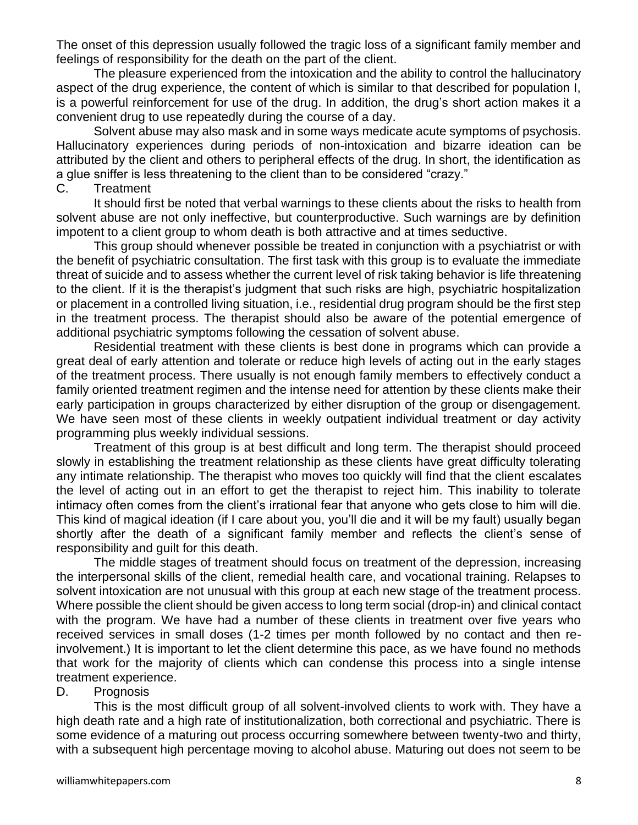The onset of this depression usually followed the tragic loss of a significant family member and feelings of responsibility for the death on the part of the client.

The pleasure experienced from the intoxication and the ability to control the hallucinatory aspect of the drug experience, the content of which is similar to that described for population I, is a powerful reinforcement for use of the drug. In addition, the drug's short action makes it a convenient drug to use repeatedly during the course of a day.

Solvent abuse may also mask and in some ways medicate acute symptoms of psychosis. Hallucinatory experiences during periods of non-intoxication and bizarre ideation can be attributed by the client and others to peripheral effects of the drug. In short, the identification as a glue sniffer is less threatening to the client than to be considered "crazy."

## C. Treatment

It should first be noted that verbal warnings to these clients about the risks to health from solvent abuse are not only ineffective, but counterproductive. Such warnings are by definition impotent to a client group to whom death is both attractive and at times seductive.

This group should whenever possible be treated in conjunction with a psychiatrist or with the benefit of psychiatric consultation. The first task with this group is to evaluate the immediate threat of suicide and to assess whether the current level of risk taking behavior is life threatening to the client. If it is the therapist's judgment that such risks are high, psychiatric hospitalization or placement in a controlled living situation, i.e., residential drug program should be the first step in the treatment process. The therapist should also be aware of the potential emergence of additional psychiatric symptoms following the cessation of solvent abuse.

Residential treatment with these clients is best done in programs which can provide a great deal of early attention and tolerate or reduce high levels of acting out in the early stages of the treatment process. There usually is not enough family members to effectively conduct a family oriented treatment regimen and the intense need for attention by these clients make their early participation in groups characterized by either disruption of the group or disengagement. We have seen most of these clients in weekly outpatient individual treatment or day activity programming plus weekly individual sessions.

Treatment of this group is at best difficult and long term. The therapist should proceed slowly in establishing the treatment relationship as these clients have great difficulty tolerating any intimate relationship. The therapist who moves too quickly will find that the client escalates the level of acting out in an effort to get the therapist to reject him. This inability to tolerate intimacy often comes from the client's irrational fear that anyone who gets close to him will die. This kind of magical ideation (if I care about you, you'll die and it will be my fault) usually began shortly after the death of a significant family member and reflects the client's sense of responsibility and guilt for this death.

The middle stages of treatment should focus on treatment of the depression, increasing the interpersonal skills of the client, remedial health care, and vocational training. Relapses to solvent intoxication are not unusual with this group at each new stage of the treatment process. Where possible the client should be given access to long term social (drop-in) and clinical contact with the program. We have had a number of these clients in treatment over five years who received services in small doses (1-2 times per month followed by no contact and then reinvolvement.) It is important to let the client determine this pace, as we have found no methods that work for the majority of clients which can condense this process into a single intense treatment experience.

## D. Prognosis

This is the most difficult group of all solvent-involved clients to work with. They have a high death rate and a high rate of institutionalization, both correctional and psychiatric. There is some evidence of a maturing out process occurring somewhere between twenty-two and thirty, with a subsequent high percentage moving to alcohol abuse. Maturing out does not seem to be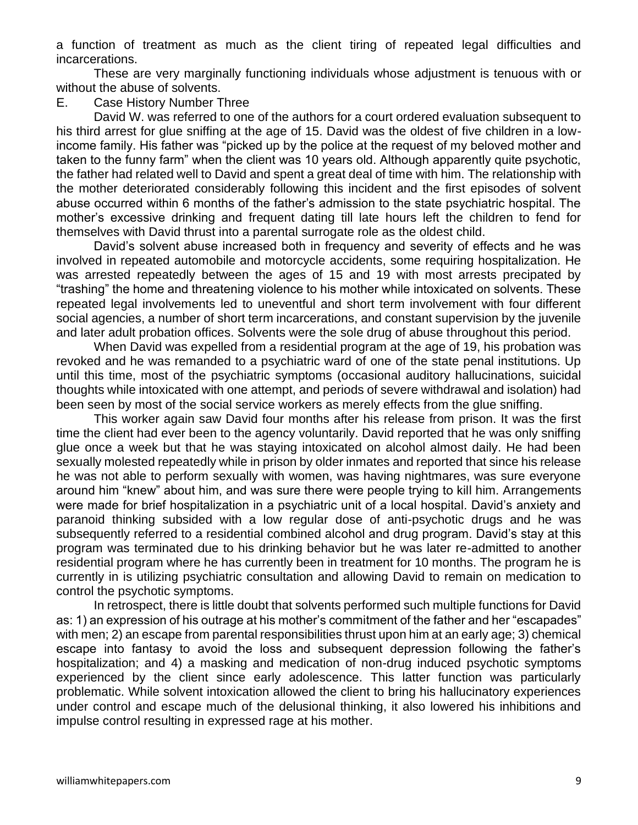a function of treatment as much as the client tiring of repeated legal difficulties and incarcerations.

These are very marginally functioning individuals whose adjustment is tenuous with or without the abuse of solvents.

#### E. Case History Number Three

David W. was referred to one of the authors for a court ordered evaluation subsequent to his third arrest for glue sniffing at the age of 15. David was the oldest of five children in a lowincome family. His father was "picked up by the police at the request of my beloved mother and taken to the funny farm" when the client was 10 years old. Although apparently quite psychotic, the father had related well to David and spent a great deal of time with him. The relationship with the mother deteriorated considerably following this incident and the first episodes of solvent abuse occurred within 6 months of the father's admission to the state psychiatric hospital. The mother's excessive drinking and frequent dating till late hours left the children to fend for themselves with David thrust into a parental surrogate role as the oldest child.

David's solvent abuse increased both in frequency and severity of effects and he was involved in repeated automobile and motorcycle accidents, some requiring hospitalization. He was arrested repeatedly between the ages of 15 and 19 with most arrests precipated by "trashing" the home and threatening violence to his mother while intoxicated on solvents. These repeated legal involvements led to uneventful and short term involvement with four different social agencies, a number of short term incarcerations, and constant supervision by the juvenile and later adult probation offices. Solvents were the sole drug of abuse throughout this period.

When David was expelled from a residential program at the age of 19, his probation was revoked and he was remanded to a psychiatric ward of one of the state penal institutions. Up until this time, most of the psychiatric symptoms (occasional auditory hallucinations, suicidal thoughts while intoxicated with one attempt, and periods of severe withdrawal and isolation) had been seen by most of the social service workers as merely effects from the glue sniffing.

This worker again saw David four months after his release from prison. It was the first time the client had ever been to the agency voluntarily. David reported that he was only sniffing glue once a week but that he was staying intoxicated on alcohol almost daily. He had been sexually molested repeatedly while in prison by older inmates and reported that since his release he was not able to perform sexually with women, was having nightmares, was sure everyone around him "knew" about him, and was sure there were people trying to kill him. Arrangements were made for brief hospitalization in a psychiatric unit of a local hospital. David's anxiety and paranoid thinking subsided with a low regular dose of anti-psychotic drugs and he was subsequently referred to a residential combined alcohol and drug program. David's stay at this program was terminated due to his drinking behavior but he was later re-admitted to another residential program where he has currently been in treatment for 10 months. The program he is currently in is utilizing psychiatric consultation and allowing David to remain on medication to control the psychotic symptoms.

In retrospect, there is little doubt that solvents performed such multiple functions for David as: 1) an expression of his outrage at his mother's commitment of the father and her "escapades" with men; 2) an escape from parental responsibilities thrust upon him at an early age; 3) chemical escape into fantasy to avoid the loss and subsequent depression following the father's hospitalization; and 4) a masking and medication of non-drug induced psychotic symptoms experienced by the client since early adolescence. This latter function was particularly problematic. While solvent intoxication allowed the client to bring his hallucinatory experiences under control and escape much of the delusional thinking, it also lowered his inhibitions and impulse control resulting in expressed rage at his mother.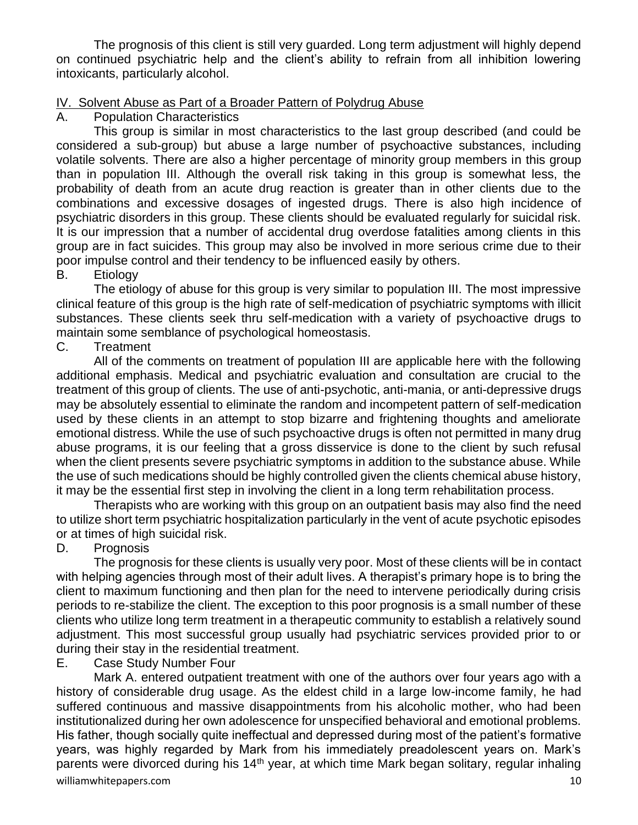The prognosis of this client is still very guarded. Long term adjustment will highly depend on continued psychiatric help and the client's ability to refrain from all inhibition lowering intoxicants, particularly alcohol.

## IV. Solvent Abuse as Part of a Broader Pattern of Polydrug Abuse

**Population Characteristics** 

This group is similar in most characteristics to the last group described (and could be considered a sub-group) but abuse a large number of psychoactive substances, including volatile solvents. There are also a higher percentage of minority group members in this group than in population III. Although the overall risk taking in this group is somewhat less, the probability of death from an acute drug reaction is greater than in other clients due to the combinations and excessive dosages of ingested drugs. There is also high incidence of psychiatric disorders in this group. These clients should be evaluated regularly for suicidal risk. It is our impression that a number of accidental drug overdose fatalities among clients in this group are in fact suicides. This group may also be involved in more serious crime due to their poor impulse control and their tendency to be influenced easily by others.

## B. Etiology

The etiology of abuse for this group is very similar to population III. The most impressive clinical feature of this group is the high rate of self-medication of psychiatric symptoms with illicit substances. These clients seek thru self-medication with a variety of psychoactive drugs to maintain some semblance of psychological homeostasis.

## C. Treatment

All of the comments on treatment of population III are applicable here with the following additional emphasis. Medical and psychiatric evaluation and consultation are crucial to the treatment of this group of clients. The use of anti-psychotic, anti-mania, or anti-depressive drugs may be absolutely essential to eliminate the random and incompetent pattern of self-medication used by these clients in an attempt to stop bizarre and frightening thoughts and ameliorate emotional distress. While the use of such psychoactive drugs is often not permitted in many drug abuse programs, it is our feeling that a gross disservice is done to the client by such refusal when the client presents severe psychiatric symptoms in addition to the substance abuse. While the use of such medications should be highly controlled given the clients chemical abuse history, it may be the essential first step in involving the client in a long term rehabilitation process.

Therapists who are working with this group on an outpatient basis may also find the need to utilize short term psychiatric hospitalization particularly in the vent of acute psychotic episodes or at times of high suicidal risk.

## D. Prognosis

The prognosis for these clients is usually very poor. Most of these clients will be in contact with helping agencies through most of their adult lives. A therapist's primary hope is to bring the client to maximum functioning and then plan for the need to intervene periodically during crisis periods to re-stabilize the client. The exception to this poor prognosis is a small number of these clients who utilize long term treatment in a therapeutic community to establish a relatively sound adjustment. This most successful group usually had psychiatric services provided prior to or during their stay in the residential treatment.

E. Case Study Number Four

williamwhitepapers.com and the community of the community of the community of the community of the community of  $10$ Mark A. entered outpatient treatment with one of the authors over four years ago with a history of considerable drug usage. As the eldest child in a large low-income family, he had suffered continuous and massive disappointments from his alcoholic mother, who had been institutionalized during her own adolescence for unspecified behavioral and emotional problems. His father, though socially quite ineffectual and depressed during most of the patient's formative years, was highly regarded by Mark from his immediately preadolescent years on. Mark's parents were divorced during his  $14<sup>th</sup>$  year, at which time Mark began solitary, regular inhaling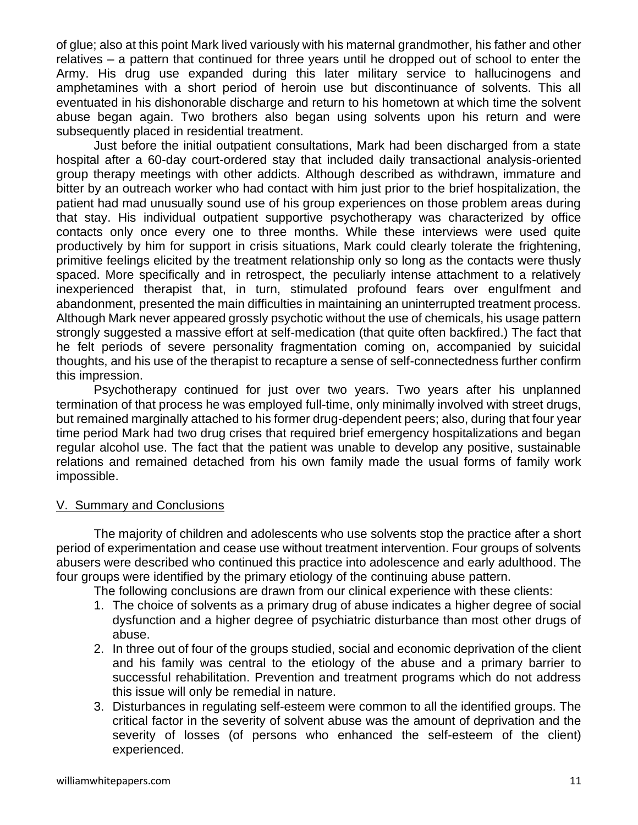of glue; also at this point Mark lived variously with his maternal grandmother, his father and other relatives – a pattern that continued for three years until he dropped out of school to enter the Army. His drug use expanded during this later military service to hallucinogens and amphetamines with a short period of heroin use but discontinuance of solvents. This all eventuated in his dishonorable discharge and return to his hometown at which time the solvent abuse began again. Two brothers also began using solvents upon his return and were subsequently placed in residential treatment.

Just before the initial outpatient consultations, Mark had been discharged from a state hospital after a 60-day court-ordered stay that included daily transactional analysis-oriented group therapy meetings with other addicts. Although described as withdrawn, immature and bitter by an outreach worker who had contact with him just prior to the brief hospitalization, the patient had mad unusually sound use of his group experiences on those problem areas during that stay. His individual outpatient supportive psychotherapy was characterized by office contacts only once every one to three months. While these interviews were used quite productively by him for support in crisis situations, Mark could clearly tolerate the frightening, primitive feelings elicited by the treatment relationship only so long as the contacts were thusly spaced. More specifically and in retrospect, the peculiarly intense attachment to a relatively inexperienced therapist that, in turn, stimulated profound fears over engulfment and abandonment, presented the main difficulties in maintaining an uninterrupted treatment process. Although Mark never appeared grossly psychotic without the use of chemicals, his usage pattern strongly suggested a massive effort at self-medication (that quite often backfired.) The fact that he felt periods of severe personality fragmentation coming on, accompanied by suicidal thoughts, and his use of the therapist to recapture a sense of self-connectedness further confirm this impression.

Psychotherapy continued for just over two years. Two years after his unplanned termination of that process he was employed full-time, only minimally involved with street drugs, but remained marginally attached to his former drug-dependent peers; also, during that four year time period Mark had two drug crises that required brief emergency hospitalizations and began regular alcohol use. The fact that the patient was unable to develop any positive, sustainable relations and remained detached from his own family made the usual forms of family work impossible.

## V. Summary and Conclusions

The majority of children and adolescents who use solvents stop the practice after a short period of experimentation and cease use without treatment intervention. Four groups of solvents abusers were described who continued this practice into adolescence and early adulthood. The four groups were identified by the primary etiology of the continuing abuse pattern.

The following conclusions are drawn from our clinical experience with these clients:

- 1. The choice of solvents as a primary drug of abuse indicates a higher degree of social dysfunction and a higher degree of psychiatric disturbance than most other drugs of abuse.
- 2. In three out of four of the groups studied, social and economic deprivation of the client and his family was central to the etiology of the abuse and a primary barrier to successful rehabilitation. Prevention and treatment programs which do not address this issue will only be remedial in nature.
- 3. Disturbances in regulating self-esteem were common to all the identified groups. The critical factor in the severity of solvent abuse was the amount of deprivation and the severity of losses (of persons who enhanced the self-esteem of the client) experienced.